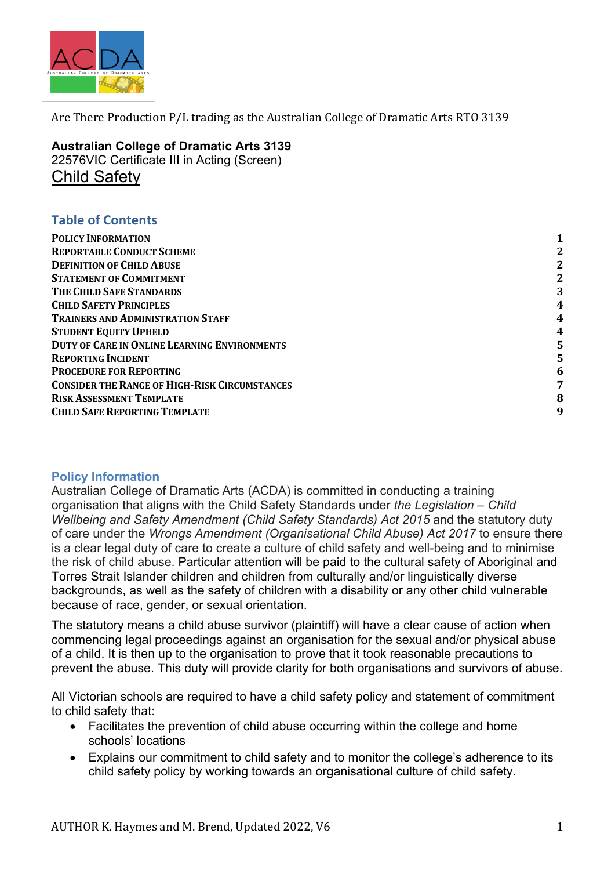

**Australian College of Dramatic Arts 3139** 22576VIC Certificate III in Acting (Screen) Child Safety

## **Table of Contents**

| <b>POLICY INFORMATION</b>                            |   |
|------------------------------------------------------|---|
| <b>REPORTABLE CONDUCT SCHEME</b>                     | 2 |
| <b>DEFINITION OF CHILD ABUSE</b>                     |   |
| <b>STATEMENT OF COMMITMENT</b>                       | 2 |
| THE CHILD SAFE STANDARDS                             | 3 |
| <b>CHILD SAFETY PRINCIPLES</b>                       | 4 |
| <b>TRAINERS AND ADMINISTRATION STAFF</b>             | 4 |
| <b>STUDENT EQUITY UPHELD</b>                         | 4 |
| <b>DUTY OF CARE IN ONLINE LEARNING ENVIRONMENTS</b>  | 5 |
| <b>REPORTING INCIDENT</b>                            |   |
| <b>PROCEDURE FOR REPORTING</b>                       | 6 |
| <b>CONSIDER THE RANGE OF HIGH-RISK CIRCUMSTANCES</b> | 7 |
| <b>RISK ASSESSMENT TEMPLATE</b>                      | 8 |
| <b>CHILD SAFE REPORTING TEMPLATE</b>                 | 9 |
|                                                      |   |

#### **Policy Information**

Australian College of Dramatic Arts (ACDA) is committed in conducting a training organisation that aligns with the Child Safety Standards under *the Legislation – Child Wellbeing and Safety Amendment (Child Safety Standards) Act 2015* and the statutory duty of care under the *Wrongs Amendment (Organisational Child Abuse) Act 2017* to ensure there is a clear legal duty of care to create a culture of child safety and well-being and to minimise the risk of child abuse. Particular attention will be paid to the cultural safety of Aboriginal and Torres Strait Islander children and children from culturally and/or linguistically diverse backgrounds, as well as the safety of children with a disability or any other child vulnerable because of race, gender, or sexual orientation.

The statutory means a child abuse survivor (plaintiff) will have a clear cause of action when commencing legal proceedings against an organisation for the sexual and/or physical abuse of a child. It is then up to the organisation to prove that it took reasonable precautions to prevent the abuse. This duty will provide clarity for both organisations and survivors of abuse.

All Victorian schools are required to have a child safety policy and statement of commitment to child safety that:

- Facilitates the prevention of child abuse occurring within the college and home schools' locations
- Explains our commitment to child safety and to monitor the college's adherence to its child safety policy by working towards an organisational culture of child safety.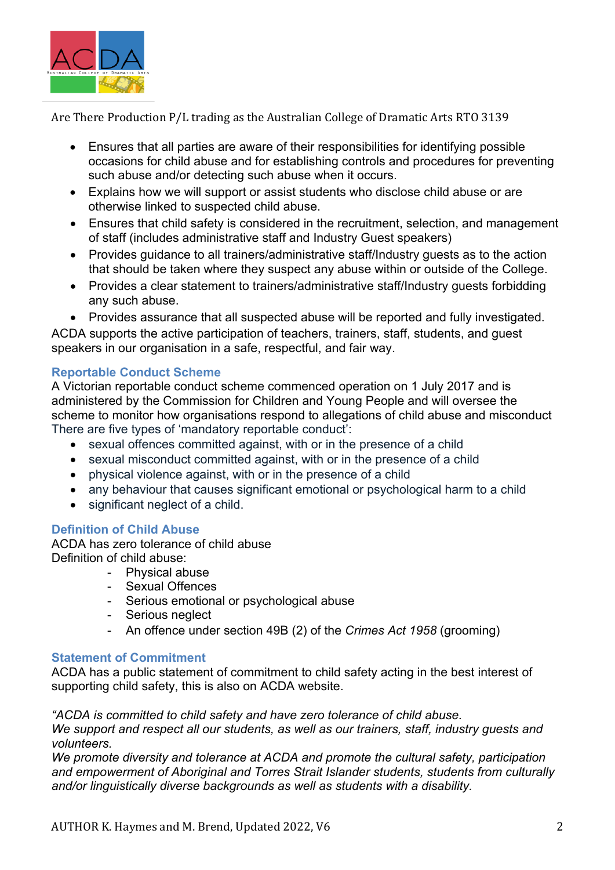

- Ensures that all parties are aware of their responsibilities for identifying possible occasions for child abuse and for establishing controls and procedures for preventing such abuse and/or detecting such abuse when it occurs.
- Explains how we will support or assist students who disclose child abuse or are otherwise linked to suspected child abuse.
- Ensures that child safety is considered in the recruitment, selection, and management of staff (includes administrative staff and Industry Guest speakers)
- Provides guidance to all trainers/administrative staff/Industry guests as to the action that should be taken where they suspect any abuse within or outside of the College.
- Provides a clear statement to trainers/administrative staff/Industry guests forbidding any such abuse.
- Provides assurance that all suspected abuse will be reported and fully investigated.

ACDA supports the active participation of teachers, trainers, staff, students, and guest speakers in our organisation in a safe, respectful, and fair way.

## **Reportable Conduct Scheme**

A Victorian reportable conduct scheme commenced operation on 1 July 2017 and is administered by the Commission for Children and Young People and will oversee the scheme to monitor how organisations respond to allegations of child abuse and misconduct There are five types of 'mandatory reportable conduct':

- sexual offences committed against, with or in the presence of a child
- sexual misconduct committed against, with or in the presence of a child
- physical violence against, with or in the presence of a child
- any behaviour that causes significant emotional or psychological harm to a child
- significant neglect of a child.

## **Definition of Child Abuse**

ACDA has zero tolerance of child abuse Definition of child abuse:

- Physical abuse
- Sexual Offences
- Serious emotional or psychological abuse
- Serious neglect
- An offence under section 49B (2) of the *Crimes Act 1958* (grooming)

#### **Statement of Commitment**

ACDA has a public statement of commitment to child safety acting in the best interest of supporting child safety, this is also on ACDA website.

*"ACDA is committed to child safety and have zero tolerance of child abuse.*

*We support and respect all our students, as well as our trainers, staff, industry guests and volunteers.*

*We promote diversity and tolerance at ACDA and promote the cultural safety, participation and empowerment of Aboriginal and Torres Strait Islander students, students from culturally and/or linguistically diverse backgrounds as well as students with a disability.*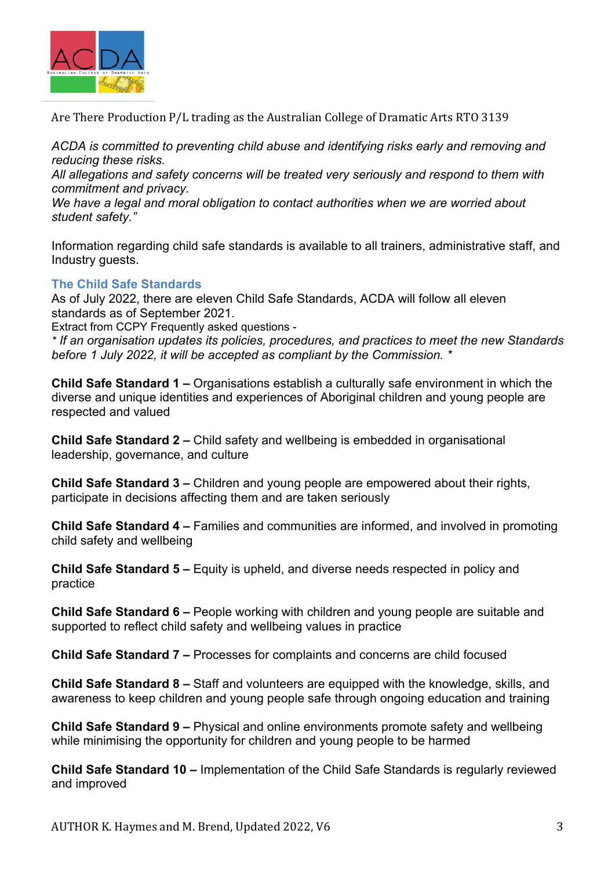

*ACDA is committed to preventing child abuse and identifying risks early and removing and reducing these risks.*

*All allegations and safety concerns will be treated very seriously and respond to them with commitment and privacy.*

*We have a legal and moral obligation to contact authorities when we are worried about student safety."*

Information regarding child safe standards is available to all trainers, administrative staff, and Industry guests.

## **The Child Safe Standards**

As of July 2022, there are eleven Child Safe Standards, ACDA will follow all eleven standards as of September 2021.

Extract from CCPY Frequently asked questions -

*\* If an organisation updates its policies, procedures, and practices to meet the new Standards before 1 July 2022, it will be accepted as compliant by the Commission. \**

**Child Safe Standard 1 –** Organisations establish a culturally safe environment in which the diverse and unique identities and experiences of Aboriginal children and young people are respected and valued

**Child Safe Standard 2 –** Child safety and wellbeing is embedded in organisational leadership, governance, and culture

**Child Safe Standard 3 –** Children and young people are empowered about their rights, participate in decisions affecting them and are taken seriously

**Child Safe Standard 4 –** Families and communities are informed, and involved in promoting child safety and wellbeing

**Child Safe Standard 5 –** Equity is upheld, and diverse needs respected in policy and practice

**Child Safe Standard 6 –** People working with children and young people are suitable and supported to reflect child safety and wellbeing values in practice

**Child Safe Standard 7 –** Processes for complaints and concerns are child focused

**Child Safe Standard 8 –** Staff and volunteers are equipped with the knowledge, skills, and awareness to keep children and young people safe through ongoing education and training

**Child Safe Standard 9 –** Physical and online environments promote safety and wellbeing while minimising the opportunity for children and young people to be harmed

**Child Safe Standard 10 –** Implementation of the Child Safe Standards is regularly reviewed and improved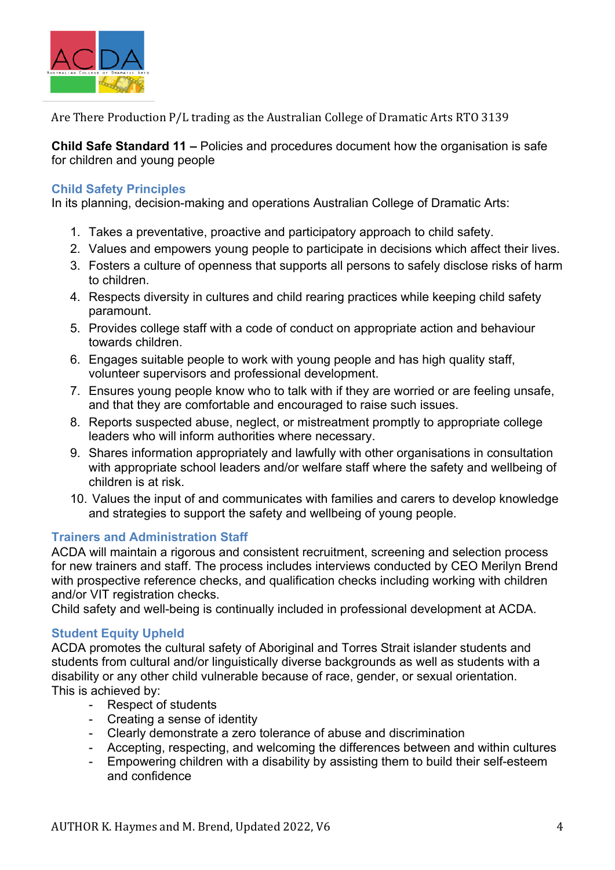

**Child Safe Standard 11 –** Policies and procedures document how the organisation is safe for children and young people

## **Child Safety Principles**

In its planning, decision-making and operations Australian College of Dramatic Arts:

- 1. Takes a preventative, proactive and participatory approach to child safety.
- 2. Values and empowers young people to participate in decisions which affect their lives.
- 3. Fosters a culture of openness that supports all persons to safely disclose risks of harm to children.
- 4. Respects diversity in cultures and child rearing practices while keeping child safety paramount.
- 5. Provides college staff with a code of conduct on appropriate action and behaviour towards children.
- 6. Engages suitable people to work with young people and has high quality staff, volunteer supervisors and professional development.
- 7. Ensures young people know who to talk with if they are worried or are feeling unsafe, and that they are comfortable and encouraged to raise such issues.
- 8. Reports suspected abuse, neglect, or mistreatment promptly to appropriate college leaders who will inform authorities where necessary.
- 9. Shares information appropriately and lawfully with other organisations in consultation with appropriate school leaders and/or welfare staff where the safety and wellbeing of children is at risk.
- 10. Values the input of and communicates with families and carers to develop knowledge and strategies to support the safety and wellbeing of young people.

## **Trainers and Administration Staff**

ACDA will maintain a rigorous and consistent recruitment, screening and selection process for new trainers and staff. The process includes interviews conducted by CEO Merilyn Brend with prospective reference checks, and qualification checks including working with children and/or VIT registration checks.

Child safety and well-being is continually included in professional development at ACDA.

## **Student Equity Upheld**

ACDA promotes the cultural safety of Aboriginal and Torres Strait islander students and students from cultural and/or linguistically diverse backgrounds as well as students with a disability or any other child vulnerable because of race, gender, or sexual orientation. This is achieved by:

- Respect of students
- Creating a sense of identity
- Clearly demonstrate a zero tolerance of abuse and discrimination
- Accepting, respecting, and welcoming the differences between and within cultures
- Empowering children with a disability by assisting them to build their self-esteem and confidence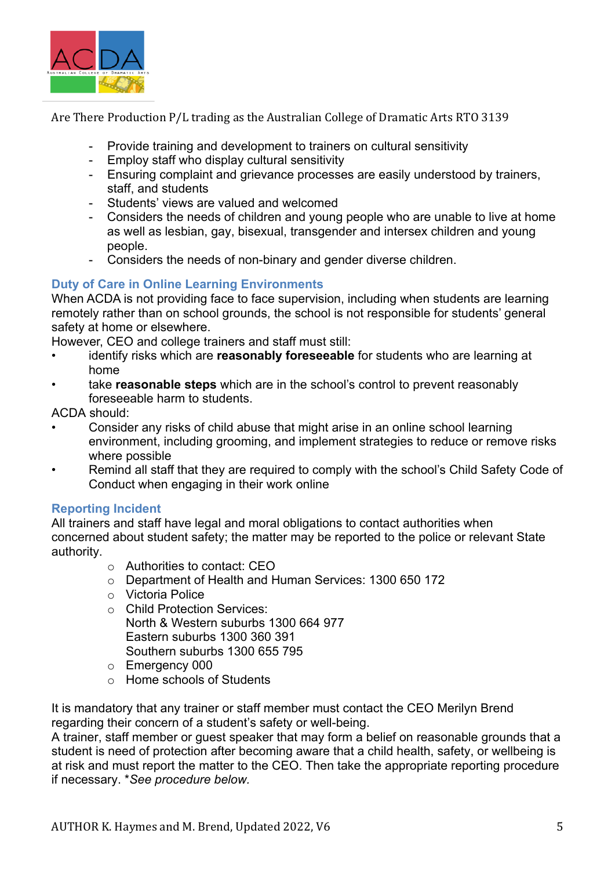

- Provide training and development to trainers on cultural sensitivity
- Employ staff who display cultural sensitivity
- Ensuring complaint and grievance processes are easily understood by trainers, staff, and students
- Students' views are valued and welcomed
- Considers the needs of children and young people who are unable to live at home as well as lesbian, gay, bisexual, transgender and intersex children and young people.
- Considers the needs of non-binary and gender diverse children.

## **Duty of Care in Online Learning Environments**

When ACDA is not providing face to face supervision, including when students are learning remotely rather than on school grounds, the school is not responsible for students' general safety at home or elsewhere.

However, CEO and college trainers and staff must still:

- identify risks which are **reasonably foreseeable** for students who are learning at home
- take **reasonable steps** which are in the school's control to prevent reasonably foreseeable harm to students.

ACDA should:

- Consider any risks of child abuse that might arise in an online school learning environment, including grooming, and implement strategies to reduce or remove risks where possible
- Remind all staff that they are required to comply with the school's Child Safety Code of Conduct when engaging in their work online

## **Reporting Incident**

All trainers and staff have legal and moral obligations to contact authorities when concerned about student safety; the matter may be reported to the police or relevant State authority.

- o Authorities to contact: CEO
- o Department of Health and Human Services: 1300 650 172
- o Victoria Police
- o Child Protection Services: North & Western suburbs 1300 664 977 Eastern suburbs 1300 360 391 Southern suburbs 1300 655 795
- o Emergency 000
- o Home schools of Students

It is mandatory that any trainer or staff member must contact the CEO Merilyn Brend regarding their concern of a student's safety or well-being.

A trainer, staff member or guest speaker that may form a belief on reasonable grounds that a student is need of protection after becoming aware that a child health, safety, or wellbeing is at risk and must report the matter to the CEO. Then take the appropriate reporting procedure if necessary. \**See procedure below.*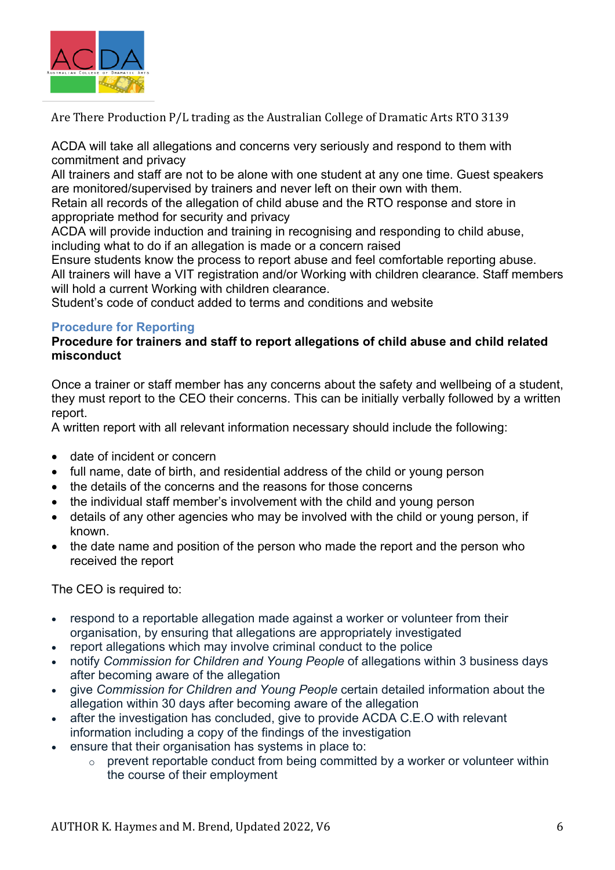

ACDA will take all allegations and concerns very seriously and respond to them with commitment and privacy

All trainers and staff are not to be alone with one student at any one time. Guest speakers are monitored/supervised by trainers and never left on their own with them.

Retain all records of the allegation of child abuse and the RTO response and store in appropriate method for security and privacy

ACDA will provide induction and training in recognising and responding to child abuse, including what to do if an allegation is made or a concern raised

Ensure students know the process to report abuse and feel comfortable reporting abuse. All trainers will have a VIT registration and/or Working with children clearance. Staff members will hold a current Working with children clearance.

Student's code of conduct added to terms and conditions and website

## **Procedure for Reporting**

#### **Procedure for trainers and staff to report allegations of child abuse and child related misconduct**

Once a trainer or staff member has any concerns about the safety and wellbeing of a student, they must report to the CEO their concerns. This can be initially verbally followed by a written report.

A written report with all relevant information necessary should include the following:

- date of incident or concern
- full name, date of birth, and residential address of the child or young person
- the details of the concerns and the reasons for those concerns
- the individual staff member's involvement with the child and young person
- details of any other agencies who may be involved with the child or young person, if known.
- the date name and position of the person who made the report and the person who received the report

The CEO is required to:

- respond to a reportable allegation made against a worker or volunteer from their organisation, by ensuring that allegations are appropriately investigated
- report allegations which may involve criminal conduct to the police
- notify *Commission for Children and Young People* of allegations within 3 business days after becoming aware of the allegation
- give *Commission for Children and Young People* certain detailed information about the allegation within 30 days after becoming aware of the allegation
- after the investigation has concluded, give to provide ACDA C.E.O with relevant information including a copy of the findings of the investigation
- ensure that their organisation has systems in place to:
	- $\circ$  prevent reportable conduct from being committed by a worker or volunteer within the course of their employment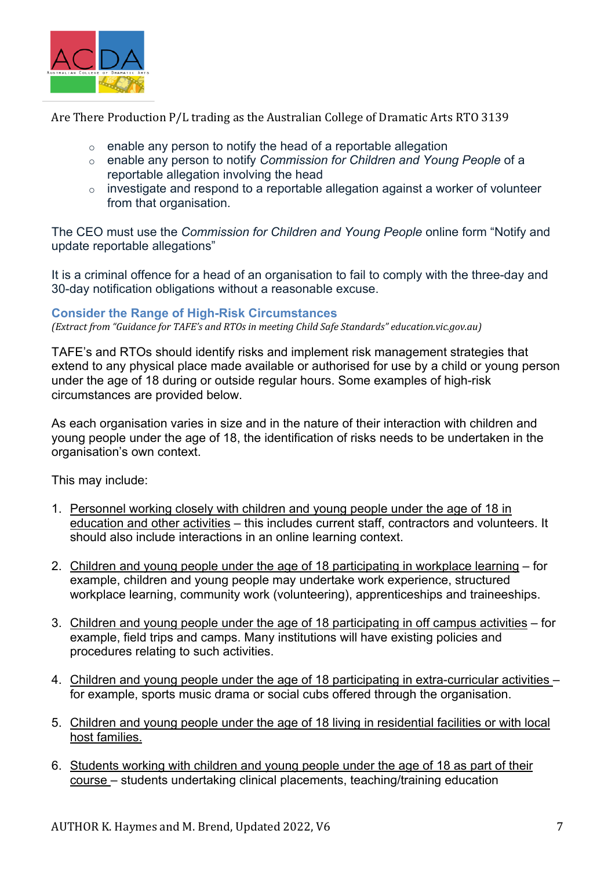

- o enable any person to notify the head of a reportable allegation
- o enable any person to notify *Commission for Children and Young People* of a reportable allegation involving the head
- $\circ$  investigate and respond to a reportable allegation against a worker of volunteer from that organisation.

The CEO must use the *Commission for Children and Young People* online form "Notify and update reportable allegations"

It is a criminal offence for a head of an organisation to fail to comply with the three-day and 30-day notification obligations without a reasonable excuse.

#### **Consider the Range of High-Risk Circumstances**

*(Extract from "Guidance for TAFE's and RTOs in meeting Child Safe Standards" education.vic.gov.au)* 

TAFE's and RTOs should identify risks and implement risk management strategies that extend to any physical place made available or authorised for use by a child or young person under the age of 18 during or outside regular hours. Some examples of high-risk circumstances are provided below.

As each organisation varies in size and in the nature of their interaction with children and young people under the age of 18, the identification of risks needs to be undertaken in the organisation's own context.

This may include:

- 1. Personnel working closely with children and young people under the age of 18 in education and other activities – this includes current staff, contractors and volunteers. It should also include interactions in an online learning context.
- 2. Children and young people under the age of 18 participating in workplace learning for example, children and young people may undertake work experience, structured workplace learning, community work (volunteering), apprenticeships and traineeships.
- 3. Children and young people under the age of 18 participating in off campus activities for example, field trips and camps. Many institutions will have existing policies and procedures relating to such activities.
- 4. Children and young people under the age of 18 participating in extra-curricular activities for example, sports music drama or social cubs offered through the organisation.
- 5. Children and young people under the age of 18 living in residential facilities or with local host families.
- 6. Students working with children and young people under the age of 18 as part of their course – students undertaking clinical placements, teaching/training education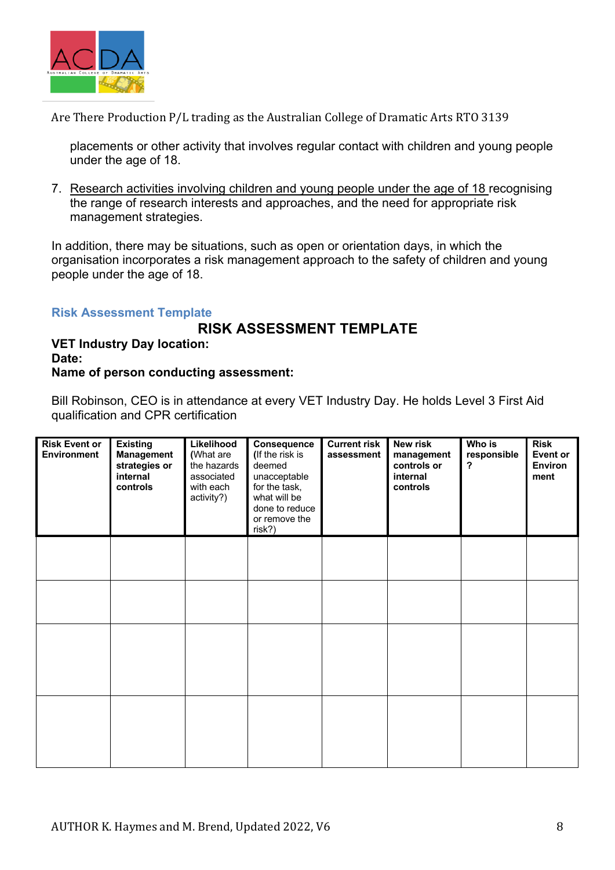

placements or other activity that involves regular contact with children and young people under the age of 18.

7. Research activities involving children and young people under the age of 18 recognising the range of research interests and approaches, and the need for appropriate risk management strategies.

In addition, there may be situations, such as open or orientation days, in which the organisation incorporates a risk management approach to the safety of children and young people under the age of 18.

#### **Risk Assessment Template**

# **RISK ASSESSMENT TEMPLATE**

**VET Industry Day location: Date: Name of person conducting assessment:**

Bill Robinson, CEO is in attendance at every VET Industry Day. He holds Level 3 First Aid qualification and CPR certification

| <b>Risk Event or</b><br><b>Environment</b> | <b>Existing</b><br><b>Management</b><br>strategies or<br>internal<br>controls | Likelihood<br>(What are<br>the hazards<br>associated<br>with each<br>activity?) | Consequence<br>(If the risk is<br>deemed<br>unacceptable<br>for the task,<br>what will be<br>done to reduce<br>or remove the<br>risk?) | <b>Current risk</b><br>assessment | <b>New risk</b><br>management<br>controls or<br>internal<br>controls | Who is<br>responsible<br>? | <b>Risk</b><br><b>Event or</b><br><b>Environ</b><br>ment |
|--------------------------------------------|-------------------------------------------------------------------------------|---------------------------------------------------------------------------------|----------------------------------------------------------------------------------------------------------------------------------------|-----------------------------------|----------------------------------------------------------------------|----------------------------|----------------------------------------------------------|
|                                            |                                                                               |                                                                                 |                                                                                                                                        |                                   |                                                                      |                            |                                                          |
|                                            |                                                                               |                                                                                 |                                                                                                                                        |                                   |                                                                      |                            |                                                          |
|                                            |                                                                               |                                                                                 |                                                                                                                                        |                                   |                                                                      |                            |                                                          |
|                                            |                                                                               |                                                                                 |                                                                                                                                        |                                   |                                                                      |                            |                                                          |